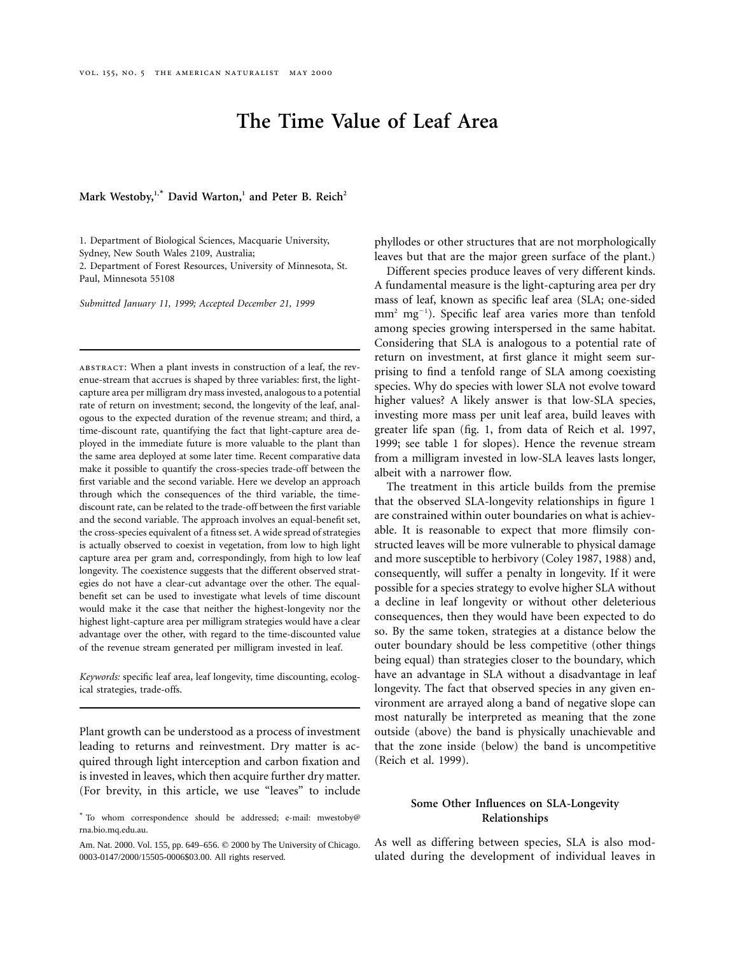# **The Time Value of Leaf Area**

**Mark Westoby,1,\* David Warton,<sup>1</sup> and Peter B. Reich<sup>2</sup>**

1. Department of Biological Sciences, Macquarie University, Sydney, New South Wales 2109, Australia; 2. Department of Forest Resources, University of Minnesota, St.

*Submitted January 11, 1999; Accepted December 21, 1999*

Paul, Minnesota 55108

ABSTRACT: When a plant invests in construction of a leaf, the revenue-stream that accrues is shaped by three variables: first, the lightcapture area per milligram dry mass invested, analogous to a potential rate of return on investment; second, the longevity of the leaf, analogous to the expected duration of the revenue stream; and third, a time-discount rate, quantifying the fact that light-capture area deployed in the immediate future is more valuable to the plant than the same area deployed at some later time. Recent comparative data make it possible to quantify the cross-species trade-off between the first variable and the second variable. Here we develop an approach through which the consequences of the third variable, the timediscount rate, can be related to the trade-off between the first variable and the second variable. The approach involves an equal-benefit set, the cross-species equivalent of a fitness set. A wide spread of strategies is actually observed to coexist in vegetation, from low to high light capture area per gram and, correspondingly, from high to low leaf longevity. The coexistence suggests that the different observed strategies do not have a clear-cut advantage over the other. The equalbenefit set can be used to investigate what levels of time discount would make it the case that neither the highest-longevity nor the highest light-capture area per milligram strategies would have a clear advantage over the other, with regard to the time-discounted value of the revenue stream generated per milligram invested in leaf.

*Keywords:* specific leaf area, leaf longevity, time discounting, ecological strategies, trade-offs.

Plant growth can be understood as a process of investment leading to returns and reinvestment. Dry matter is acquired through light interception and carbon fixation and is invested in leaves, which then acquire further dry matter. (For brevity, in this article, we use "leaves" to include phyllodes or other structures that are not morphologically leaves but that are the major green surface of the plant.)

Different species produce leaves of very different kinds. A fundamental measure is the light-capturing area per dry mass of leaf, known as specific leaf area (SLA; one-sided  $mm<sup>2</sup>$  mg<sup>-1</sup>). Specific leaf area varies more than tenfold among species growing interspersed in the same habitat. Considering that SLA is analogous to a potential rate of return on investment, at first glance it might seem surprising to find a tenfold range of SLA among coexisting species. Why do species with lower SLA not evolve toward higher values? A likely answer is that low-SLA species, investing more mass per unit leaf area, build leaves with greater life span (fig. 1, from data of Reich et al. 1997, 1999; see table 1 for slopes). Hence the revenue stream from a milligram invested in low-SLA leaves lasts longer, albeit with a narrower flow.

The treatment in this article builds from the premise that the observed SLA-longevity relationships in figure 1 are constrained within outer boundaries on what is achievable. It is reasonable to expect that more flimsily constructed leaves will be more vulnerable to physical damage and more susceptible to herbivory (Coley 1987, 1988) and, consequently, will suffer a penalty in longevity. If it were possible for a species strategy to evolve higher SLA without a decline in leaf longevity or without other deleterious consequences, then they would have been expected to do so. By the same token, strategies at a distance below the outer boundary should be less competitive (other things being equal) than strategies closer to the boundary, which have an advantage in SLA without a disadvantage in leaf longevity. The fact that observed species in any given environment are arrayed along a band of negative slope can most naturally be interpreted as meaning that the zone outside (above) the band is physically unachievable and that the zone inside (below) the band is uncompetitive (Reich et al. 1999).

## **Some Other Influences on SLA-Longevity Relationships**

As well as differing between species, SLA is also modulated during the development of individual leaves in

<sup>\*</sup> To whom correspondence should be addressed; e-mail: mwestoby@ rna.bio.mq.edu.au.

Am. Nat. 2000. Vol. 155, pp. 649-656. @ 2000 by The University of Chicago. 0003-0147/2000/15505-0006\$03.00. All rights reserved.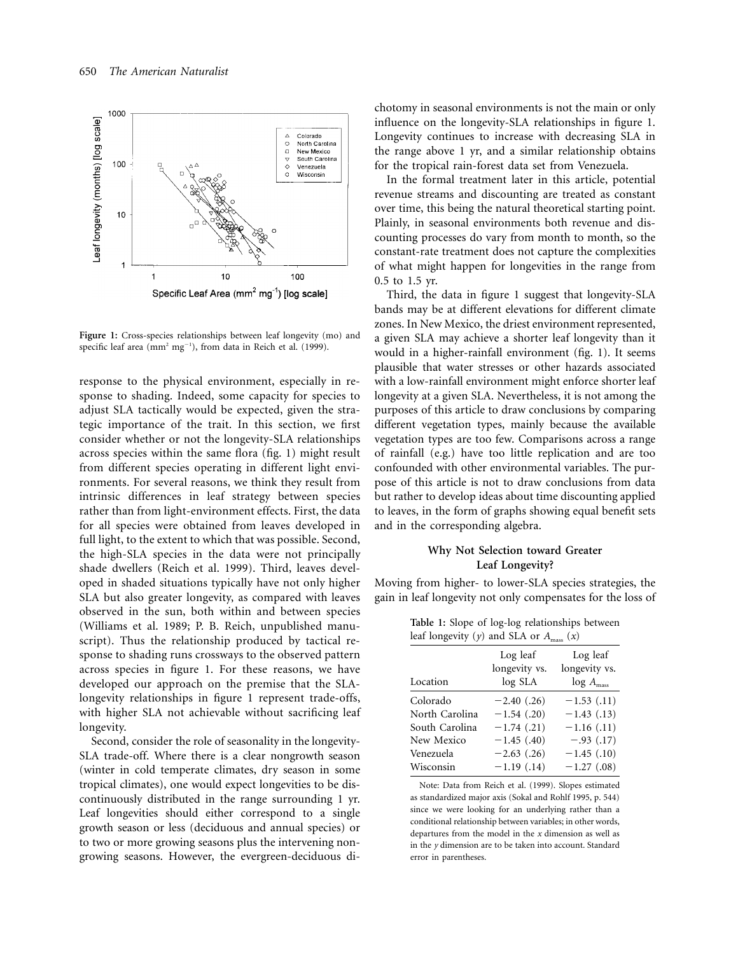

**Figure 1:** Cross-species relationships between leaf longevity (mo) and specific leaf area  $(mm<sup>2</sup> mg<sup>-1</sup>)$ , from data in Reich et al. (1999).

response to the physical environment, especially in response to shading. Indeed, some capacity for species to adjust SLA tactically would be expected, given the strategic importance of the trait. In this section, we first consider whether or not the longevity-SLA relationships across species within the same flora (fig. 1) might result from different species operating in different light environments. For several reasons, we think they result from intrinsic differences in leaf strategy between species rather than from light-environment effects. First, the data for all species were obtained from leaves developed in full light, to the extent to which that was possible. Second, the high-SLA species in the data were not principally shade dwellers (Reich et al. 1999). Third, leaves developed in shaded situations typically have not only higher SLA but also greater longevity, as compared with leaves observed in the sun, both within and between species (Williams et al. 1989; P. B. Reich, unpublished manuscript). Thus the relationship produced by tactical response to shading runs crossways to the observed pattern across species in figure 1. For these reasons, we have developed our approach on the premise that the SLAlongevity relationships in figure 1 represent trade-offs, with higher SLA not achievable without sacrificing leaf longevity.

Second, consider the role of seasonality in the longevity-SLA trade-off. Where there is a clear nongrowth season (winter in cold temperate climates, dry season in some tropical climates), one would expect longevities to be discontinuously distributed in the range surrounding 1 yr. Leaf longevities should either correspond to a single growth season or less (deciduous and annual species) or to two or more growing seasons plus the intervening nongrowing seasons. However, the evergreen-deciduous dichotomy in seasonal environments is not the main or only influence on the longevity-SLA relationships in figure 1. Longevity continues to increase with decreasing SLA in the range above 1 yr, and a similar relationship obtains for the tropical rain-forest data set from Venezuela.

In the formal treatment later in this article, potential revenue streams and discounting are treated as constant over time, this being the natural theoretical starting point. Plainly, in seasonal environments both revenue and discounting processes do vary from month to month, so the constant-rate treatment does not capture the complexities of what might happen for longevities in the range from 0.5 to 1.5 yr.

Third, the data in figure 1 suggest that longevity-SLA bands may be at different elevations for different climate zones. In New Mexico, the driest environment represented, a given SLA may achieve a shorter leaf longevity than it would in a higher-rainfall environment (fig. 1). It seems plausible that water stresses or other hazards associated with a low-rainfall environment might enforce shorter leaf longevity at a given SLA. Nevertheless, it is not among the purposes of this article to draw conclusions by comparing different vegetation types, mainly because the available vegetation types are too few. Comparisons across a range of rainfall (e.g.) have too little replication and are too confounded with other environmental variables. The purpose of this article is not to draw conclusions from data but rather to develop ideas about time discounting applied to leaves, in the form of graphs showing equal benefit sets and in the corresponding algebra.

### **Why Not Selection toward Greater Leaf Longevity?**

Moving from higher- to lower-SLA species strategies, the gain in leaf longevity not only compensates for the loss of

**Table 1:** Slope of log-log relationships between leaf longevity  $(y)$  and SLA or  $A_{\text{mass}}(x)$ 

| Location       | Log leaf<br>longevity vs.<br>log SLA | Log leaf<br>longevity vs.<br>$log A_{\rm mass}$ |
|----------------|--------------------------------------|-------------------------------------------------|
| Colorado       | $-2.40$ (.26)                        | $-1.53$ (.11)                                   |
| North Carolina | $-1.54$ (.20)                        | $-1.43$ (.13)                                   |
| South Carolina | $-1.74$ (.21)                        | $-1.16$ (.11)                                   |
| New Mexico     | $-1.45$ (.40)                        | $-.93$ (.17)                                    |
| Venezuela      | $-2.63$ (.26)                        | $-1.45$ (.10)                                   |
| Wisconsin      | $-1.19(0.14)$                        | $-1.27$ (.08)                                   |
|                |                                      |                                                 |

Note: Data from Reich et al. (1999). Slopes estimated as standardized major axis (Sokal and Rohlf 1995, p. 544) since we were looking for an underlying rather than a conditional relationship between variables; in other words, departures from the model in the *x* dimension as well as in the *y* dimension are to be taken into account. Standard error in parentheses.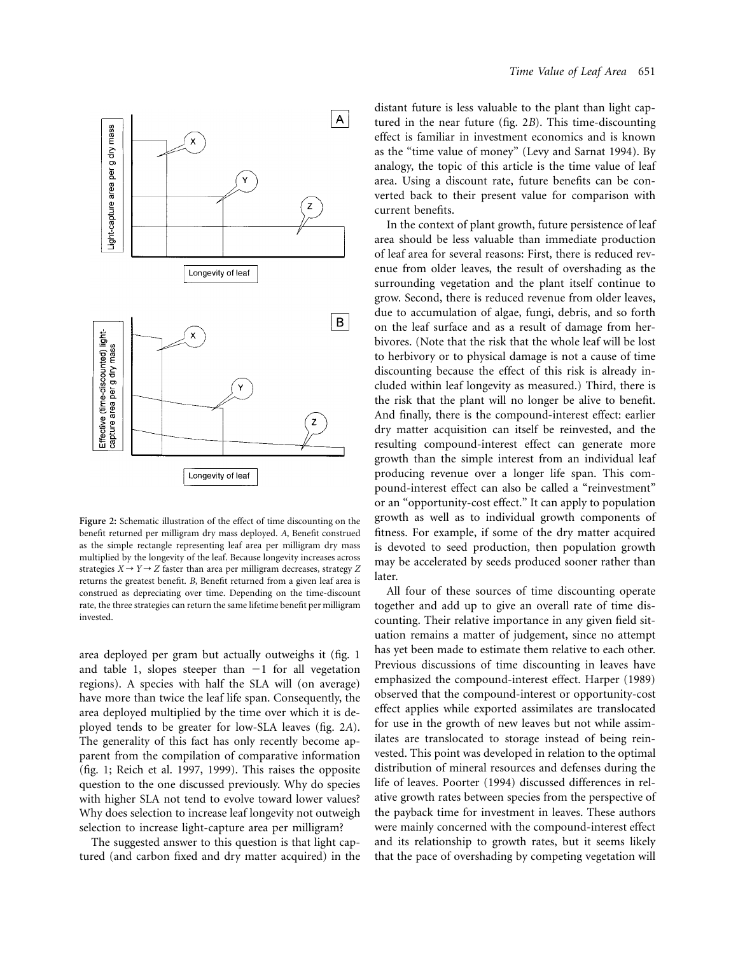

**Figure 2:** Schematic illustration of the effect of time discounting on the benefit returned per milligram dry mass deployed. *A*, Benefit construed as the simple rectangle representing leaf area per milligram dry mass multiplied by the longevity of the leaf. Because longevity increases across strategies  $X \rightarrow Y \rightarrow Z$  faster than area per milligram decreases, strategy *Z* returns the greatest benefit. *B*, Benefit returned from a given leaf area is construed as depreciating over time. Depending on the time-discount rate, the three strategies can return the same lifetime benefit per milligram invested.

area deployed per gram but actually outweighs it (fig. 1 and table 1, slopes steeper than  $-1$  for all vegetation regions). A species with half the SLA will (on average) have more than twice the leaf life span. Consequently, the area deployed multiplied by the time over which it is deployed tends to be greater for low-SLA leaves (fig. 2*A*). The generality of this fact has only recently become apparent from the compilation of comparative information (fig. 1; Reich et al. 1997, 1999). This raises the opposite question to the one discussed previously. Why do species with higher SLA not tend to evolve toward lower values? Why does selection to increase leaf longevity not outweigh selection to increase light-capture area per milligram?

The suggested answer to this question is that light captured (and carbon fixed and dry matter acquired) in the distant future is less valuable to the plant than light captured in the near future (fig. 2*B*). This time-discounting effect is familiar in investment economics and is known as the "time value of money" (Levy and Sarnat 1994). By analogy, the topic of this article is the time value of leaf area. Using a discount rate, future benefits can be converted back to their present value for comparison with current benefits.

In the context of plant growth, future persistence of leaf area should be less valuable than immediate production of leaf area for several reasons: First, there is reduced revenue from older leaves, the result of overshading as the surrounding vegetation and the plant itself continue to grow. Second, there is reduced revenue from older leaves, due to accumulation of algae, fungi, debris, and so forth on the leaf surface and as a result of damage from herbivores. (Note that the risk that the whole leaf will be lost to herbivory or to physical damage is not a cause of time discounting because the effect of this risk is already included within leaf longevity as measured.) Third, there is the risk that the plant will no longer be alive to benefit. And finally, there is the compound-interest effect: earlier dry matter acquisition can itself be reinvested, and the resulting compound-interest effect can generate more growth than the simple interest from an individual leaf producing revenue over a longer life span. This compound-interest effect can also be called a "reinvestment" or an "opportunity-cost effect." It can apply to population growth as well as to individual growth components of fitness. For example, if some of the dry matter acquired is devoted to seed production, then population growth may be accelerated by seeds produced sooner rather than later.

All four of these sources of time discounting operate together and add up to give an overall rate of time discounting. Their relative importance in any given field situation remains a matter of judgement, since no attempt has yet been made to estimate them relative to each other. Previous discussions of time discounting in leaves have emphasized the compound-interest effect. Harper (1989) observed that the compound-interest or opportunity-cost effect applies while exported assimilates are translocated for use in the growth of new leaves but not while assimilates are translocated to storage instead of being reinvested. This point was developed in relation to the optimal distribution of mineral resources and defenses during the life of leaves. Poorter (1994) discussed differences in relative growth rates between species from the perspective of the payback time for investment in leaves. These authors were mainly concerned with the compound-interest effect and its relationship to growth rates, but it seems likely that the pace of overshading by competing vegetation will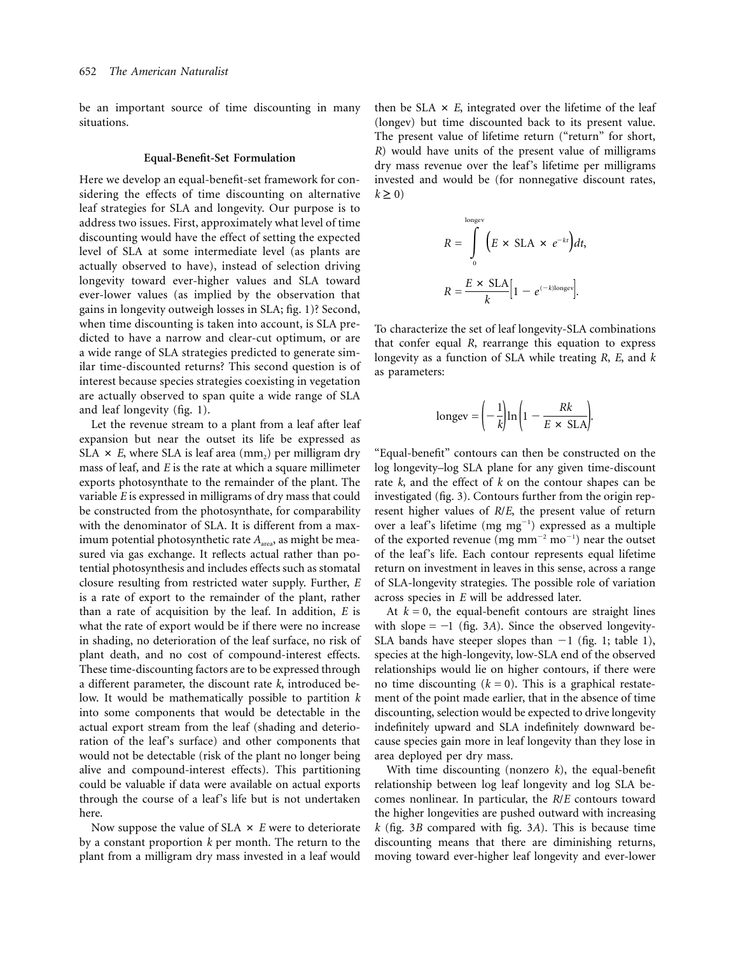be an important source of time discounting in many situations.

#### **Equal-Benefit-Set Formulation**

Here we develop an equal-benefit-set framework for considering the effects of time discounting on alternative leaf strategies for SLA and longevity. Our purpose is to address two issues. First, approximately what level of time discounting would have the effect of setting the expected level of SLA at some intermediate level (as plants are actually observed to have), instead of selection driving longevity toward ever-higher values and SLA toward ever-lower values (as implied by the observation that gains in longevity outweigh losses in SLA; fig. 1)? Second, when time discounting is taken into account, is SLA predicted to have a narrow and clear-cut optimum, or are a wide range of SLA strategies predicted to generate similar time-discounted returns? This second question is of interest because species strategies coexisting in vegetation are actually observed to span quite a wide range of SLA and leaf longevity (fig. 1).

Let the revenue stream to a plant from a leaf after leaf expansion but near the outset its life be expressed as SLA  $\times$  *E*, where SLA is leaf area (mm<sub>2</sub>) per milligram dry mass of leaf, and *E* is the rate at which a square millimeter exports photosynthate to the remainder of the plant. The variable *E* is expressed in milligrams of dry mass that could be constructed from the photosynthate, for comparability with the denominator of SLA. It is different from a maximum potential photosynthetic rate  $A_{area}$  as might be measured via gas exchange. It reflects actual rather than potential photosynthesis and includes effects such as stomatal closure resulting from restricted water supply. Further, *E* is a rate of export to the remainder of the plant, rather than a rate of acquisition by the leaf. In addition, *E* is what the rate of export would be if there were no increase in shading, no deterioration of the leaf surface, no risk of plant death, and no cost of compound-interest effects. These time-discounting factors are to be expressed through a different parameter, the discount rate *k*, introduced below. It would be mathematically possible to partition *k* into some components that would be detectable in the actual export stream from the leaf (shading and deterioration of the leaf's surface) and other components that would not be detectable (risk of the plant no longer being alive and compound-interest effects). This partitioning could be valuable if data were available on actual exports through the course of a leaf's life but is not undertaken here.

Now suppose the value of SLA  $\times$  *E* were to deteriorate by a constant proportion *k* per month. The return to the plant from a milligram dry mass invested in a leaf would then be SLA  $\times$  *E*, integrated over the lifetime of the leaf (longev) but time discounted back to its present value. The present value of lifetime return ("return" for short, *R*) would have units of the present value of milligrams dry mass revenue over the leaf's lifetime per milligrams invested and would be (for nonnegative discount rates,  $k \geq 0$ )

$$
R = \int_{0}^{\text{longev}} (E \times \text{SLA} \times e^{-kt}) dt,
$$

$$
R = \frac{E \times \text{SLA}}{k} [1 - e^{(-k)\text{longev}}].
$$

To characterize the set of leaf longevity-SLA combinations that confer equal *R*, rearrange this equation to express longevity as a function of SLA while treating *R*, *E*, and *k* as parameters:

longev = 
$$
\left(-\frac{1}{k}\right) \ln \left(1 - \frac{Rk}{E \times SLA}\right)
$$
.

"Equal-benefit" contours can then be constructed on the log longevity–log SLA plane for any given time-discount rate *k*, and the effect of *k* on the contour shapes can be investigated (fig. 3). Contours further from the origin represent higher values of *R*/*E*, the present value of return over a leaf's lifetime (mg mg<sup>-1</sup>) expressed as a multiple of the exported revenue  $(mg \, mm^{-2} \, mo^{-1})$  near the outset of the leaf's life. Each contour represents equal lifetime return on investment in leaves in this sense, across a range of SLA-longevity strategies. The possible role of variation across species in *E* will be addressed later.

At  $k = 0$ , the equal-benefit contours are straight lines with slope  $= -1$  (fig. 3A). Since the observed longevity-SLA bands have steeper slopes than  $-1$  (fig. 1; table 1), species at the high-longevity, low-SLA end of the observed relationships would lie on higher contours, if there were no time discounting  $(k = 0)$ . This is a graphical restatement of the point made earlier, that in the absence of time discounting, selection would be expected to drive longevity indefinitely upward and SLA indefinitely downward because species gain more in leaf longevity than they lose in area deployed per dry mass.

With time discounting (nonzero *k*), the equal-benefit relationship between log leaf longevity and log SLA becomes nonlinear. In particular, the *R*/*E* contours toward the higher longevities are pushed outward with increasing *k* (fig. 3*B* compared with fig. 3*A*). This is because time discounting means that there are diminishing returns, moving toward ever-higher leaf longevity and ever-lower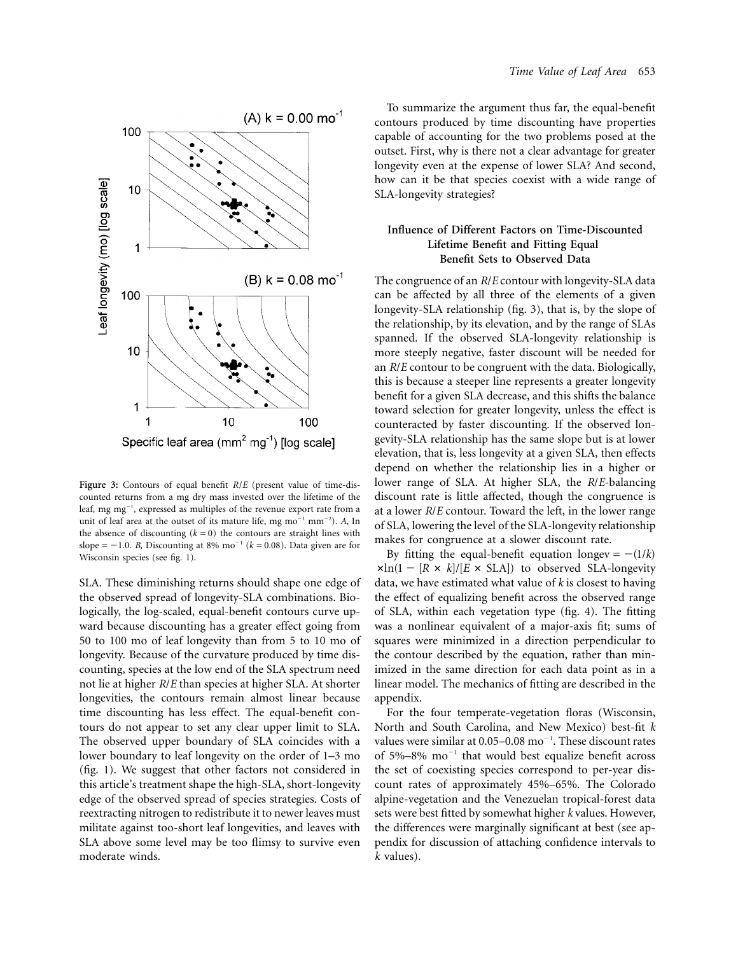

**Figure 3:** Contours of equal benefit *R*/*E* (present value of time-discounted returns from a mg dry mass invested over the lifetime of the leaf, mg mg<sup>-1</sup>, expressed as multiples of the revenue export rate from a unit of leaf area at the outset of its mature life, mg mo<sup>-1</sup> mm<sup>-2</sup>). A, In the absence of discounting  $(k = 0)$  the contours are straight lines with slope =  $-1.0$ . *B*, Discounting at 8% mo<sup>-1</sup> ( $k = 0.08$ ). Data given are for Wisconsin species (see fig. 1).

SLA. These diminishing returns should shape one edge of the observed spread of longevity-SLA combinations. Biologically, the log-scaled, equal-benefit contours curve upward because discounting has a greater effect going from 50 to 100 mo of leaf longevity than from 5 to 10 mo of longevity. Because of the curvature produced by time discounting, species at the low end of the SLA spectrum need not lie at higher *R*/*E* than species at higher SLA. At shorter longevities, the contours remain almost linear because time discounting has less effect. The equal-benefit contours do not appear to set any clear upper limit to SLA. The observed upper boundary of SLA coincides with a lower boundary to leaf longevity on the order of 1–3 mo (fig. 1). We suggest that other factors not considered in this article's treatment shape the high-SLA, short-longevity edge of the observed spread of species strategies. Costs of reextracting nitrogen to redistribute it to newer leaves must militate against too-short leaf longevities, and leaves with SLA above some level may be too flimsy to survive even moderate winds.

To summarize the argument thus far, the equal-benefit contours produced by time discounting have properties capable of accounting for the two problems posed at the outset. First, why is there not a clear advantage for greater longevity even at the expense of lower SLA? And second, how can it be that species coexist with a wide range of SLA-longevity strategies?

## **Influence of Different Factors on Time-Discounted Lifetime Benefit and Fitting Equal Benefit Sets to Observed Data**

The congruence of an *R*/*E* contour with longevity-SLA data can be affected by all three of the elements of a given longevity-SLA relationship (fig. 3), that is, by the slope of the relationship, by its elevation, and by the range of SLAs spanned. If the observed SLA-longevity relationship is more steeply negative, faster discount will be needed for an *R*/*E* contour to be congruent with the data. Biologically, this is because a steeper line represents a greater longevity benefit for a given SLA decrease, and this shifts the balance toward selection for greater longevity, unless the effect is counteracted by faster discounting. If the observed longevity-SLA relationship has the same slope but is at lower elevation, that is, less longevity at a given SLA, then effects depend on whether the relationship lies in a higher or lower range of SLA. At higher SLA, the *R*/*E*-balancing discount rate is little affected, though the congruence is at a lower *R*/*E* contour. Toward the left, in the lower range of SLA, lowering the level of the SLA-longevity relationship makes for congruence at a slower discount rate.

By fitting the equal-benefit equation longev =  $-(1/k)$  $x\ln(1 - [R \times k]/[E \times SLA])$  to observed SLA-longevity data, we have estimated what value of *k* is closest to having the effect of equalizing benefit across the observed range of SLA, within each vegetation type (fig. 4). The fitting was a nonlinear equivalent of a major-axis fit; sums of squares were minimized in a direction perpendicular to the contour described by the equation, rather than minimized in the same direction for each data point as in a linear model. The mechanics of fitting are described in the appendix.

For the four temperate-vegetation floras (Wisconsin, North and South Carolina, and New Mexico) best-fit *k* values were similar at  $0.05-0.08$  mo<sup>-1</sup>. These discount rates of 5%–8%  $\text{mo}^{-1}$  that would best equalize benefit across the set of coexisting species correspond to per-year discount rates of approximately 45%–65%. The Colorado alpine-vegetation and the Venezuelan tropical-forest data sets were best fitted by somewhat higher *k* values. However, the differences were marginally significant at best (see appendix for discussion of attaching confidence intervals to *k* values).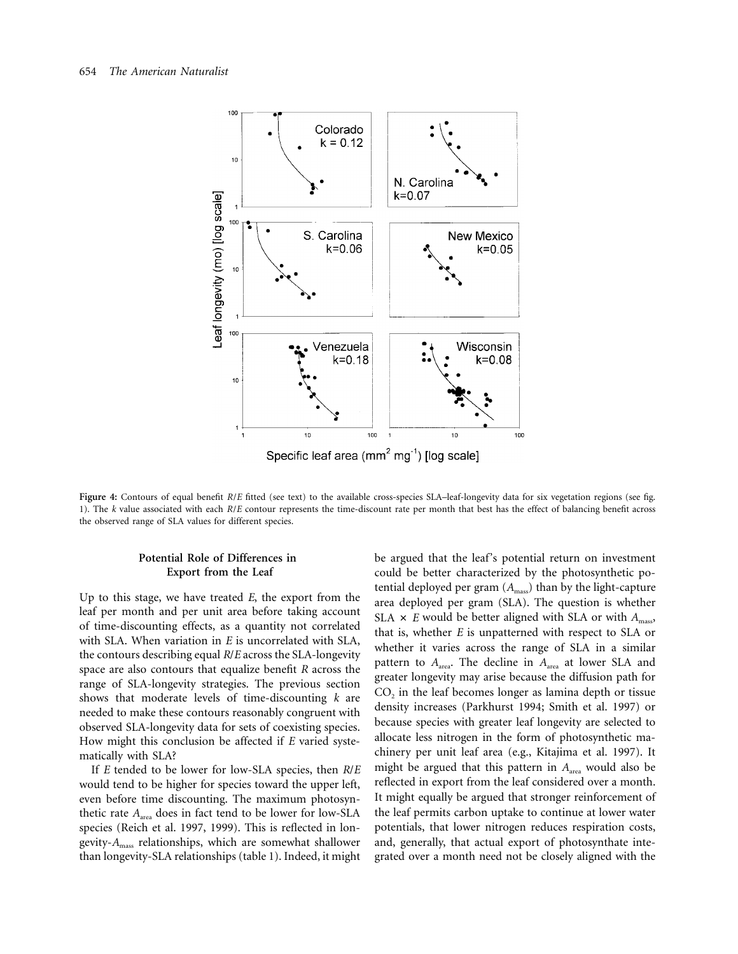

**Figure 4:** Contours of equal benefit *R*/*E* fitted (see text) to the available cross-species SLA–leaf-longevity data for six vegetation regions (see fig. 1). The *k* value associated with each *R*/*E* contour represents the time-discount rate per month that best has the effect of balancing benefit across the observed range of SLA values for different species.

## **Potential Role of Differences in Export from the Leaf**

Up to this stage, we have treated *E*, the export from the leaf per month and per unit area before taking account of time-discounting effects, as a quantity not correlated with SLA. When variation in *E* is uncorrelated with SLA, the contours describing equal *R*/*E* across the SLA-longevity space are also contours that equalize benefit *R* across the range of SLA-longevity strategies. The previous section shows that moderate levels of time-discounting *k* are needed to make these contours reasonably congruent with observed SLA-longevity data for sets of coexisting species. How might this conclusion be affected if *E* varied systematically with SLA?

If *E* tended to be lower for low-SLA species, then *R*/*E* would tend to be higher for species toward the upper left, even before time discounting. The maximum photosynthetic rate  $A_{area}$  does in fact tend to be lower for low-SLA species (Reich et al. 1997, 1999). This is reflected in longevity-*A*mass relationships, which are somewhat shallower than longevity-SLA relationships (table 1). Indeed, it might be argued that the leaf's potential return on investment could be better characterized by the photosynthetic potential deployed per gram (*A*mass) than by the light-capture area deployed per gram (SLA). The question is whether SLA  $\times$  *E* would be better aligned with SLA or with  $A_{\text{mass}}$ , that is, whether *E* is unpatterned with respect to SLA or whether it varies across the range of SLA in a similar pattern to *A*<sub>area</sub>. The decline in *A*<sub>area</sub> at lower SLA and greater longevity may arise because the diffusion path for CO<sub>2</sub> in the leaf becomes longer as lamina depth or tissue density increases (Parkhurst 1994; Smith et al. 1997) or because species with greater leaf longevity are selected to allocate less nitrogen in the form of photosynthetic machinery per unit leaf area (e.g., Kitajima et al. 1997). It might be argued that this pattern in  $A_{area}$  would also be reflected in export from the leaf considered over a month. It might equally be argued that stronger reinforcement of the leaf permits carbon uptake to continue at lower water potentials, that lower nitrogen reduces respiration costs, and, generally, that actual export of photosynthate integrated over a month need not be closely aligned with the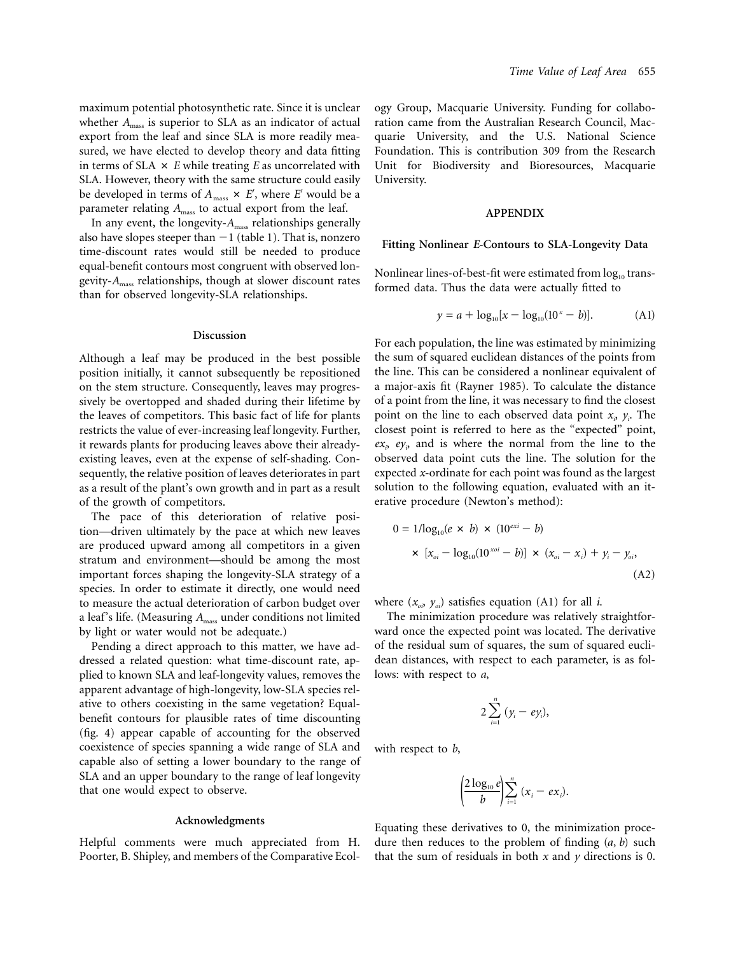maximum potential photosynthetic rate. Since it is unclear whether  $A_{\text{mass}}$  is superior to SLA as an indicator of actual export from the leaf and since SLA is more readily measured, we have elected to develop theory and data fitting in terms of SLA  $\times$  *E* while treating *E* as uncorrelated with SLA. However, theory with the same structure could easily be developed in terms of  $A_{\text{mass}} \times E'$ , where  $E'$  would be a parameter relating  $A_{\text{mass}}$  to actual export from the leaf.

In any event, the longevity- $A<sub>mass</sub>$  relationships generally also have slopes steeper than  $-1$  (table 1). That is, nonzero time-discount rates would still be needed to produce equal-benefit contours most congruent with observed longevity-*A*mass relationships, though at slower discount rates than for observed longevity-SLA relationships.

#### **Discussion**

Although a leaf may be produced in the best possible position initially, it cannot subsequently be repositioned on the stem structure. Consequently, leaves may progressively be overtopped and shaded during their lifetime by the leaves of competitors. This basic fact of life for plants restricts the value of ever-increasing leaf longevity. Further, it rewards plants for producing leaves above their alreadyexisting leaves, even at the expense of self-shading. Consequently, the relative position of leaves deteriorates in part as a result of the plant's own growth and in part as a result of the growth of competitors.

The pace of this deterioration of relative position—driven ultimately by the pace at which new leaves are produced upward among all competitors in a given stratum and environment—should be among the most important forces shaping the longevity-SLA strategy of a species. In order to estimate it directly, one would need to measure the actual deterioration of carbon budget over a leaf's life. (Measuring  $A<sub>mass</sub>$  under conditions not limited by light or water would not be adequate.)

Pending a direct approach to this matter, we have addressed a related question: what time-discount rate, applied to known SLA and leaf-longevity values, removes the apparent advantage of high-longevity, low-SLA species relative to others coexisting in the same vegetation? Equalbenefit contours for plausible rates of time discounting (fig. 4) appear capable of accounting for the observed coexistence of species spanning a wide range of SLA and capable also of setting a lower boundary to the range of SLA and an upper boundary to the range of leaf longevity that one would expect to observe.

#### **Acknowledgments**

Helpful comments were much appreciated from H. Poorter, B. Shipley, and members of the Comparative Ecology Group, Macquarie University. Funding for collaboration came from the Australian Research Council, Macquarie University, and the U.S. National Science Foundation. This is contribution 309 from the Research Unit for Biodiversity and Bioresources, Macquarie University.

#### **APPENDIX**

#### **Fitting Nonlinear** *E***-Contours to SLA-Longevity Data**

Nonlinear lines-of-best-fit were estimated from  $log_{10}$  transformed data. Thus the data were actually fitted to

$$
y = a + \log_{10}[x - \log_{10}(10^x - b)].
$$
 (A1)

For each population, the line was estimated by minimizing the sum of squared euclidean distances of the points from the line. This can be considered a nonlinear equivalent of a major-axis fit (Rayner 1985). To calculate the distance of a point from the line, it was necessary to find the closest point on the line to each observed data point  $x_i$ ,  $y_i$ . The closest point is referred to here as the "expected" point,  $ex_{\rho}$  ey<sub>i</sub> and is where the normal from the line to the observed data point cuts the line. The solution for the expected *x*-ordinate for each point was found as the largest solution to the following equation, evaluated with an iterative procedure (Newton's method):

$$
0 = 1/\log_{10}(e \times b) \times (10^{exi} - b)
$$
  
 
$$
\times [x_{oi} - \log_{10}(10^{xoi} - b)] \times (x_{oi} - x_i) + y_i - y_{oi},
$$
  
(A2)

where  $(x_{\alpha}, y_{\alpha i})$  satisfies equation (A1) for all *i*.

The minimization procedure was relatively straightforward once the expected point was located. The derivative of the residual sum of squares, the sum of squared euclidean distances, with respect to each parameter, is as follows: with respect to *a*,

$$
2\sum_{i=1}^n\left(y_i-ey_i\right),\,
$$

with respect to *b*,

$$
\left(\frac{2\log_{10}e}{b}\right)\sum_{i=1}^n\left(x_i-ex_i\right).
$$

Equating these derivatives to 0, the minimization procedure then reduces to the problem of finding  $(a, b)$  such that the sum of residuals in both *x* and *y* directions is 0.